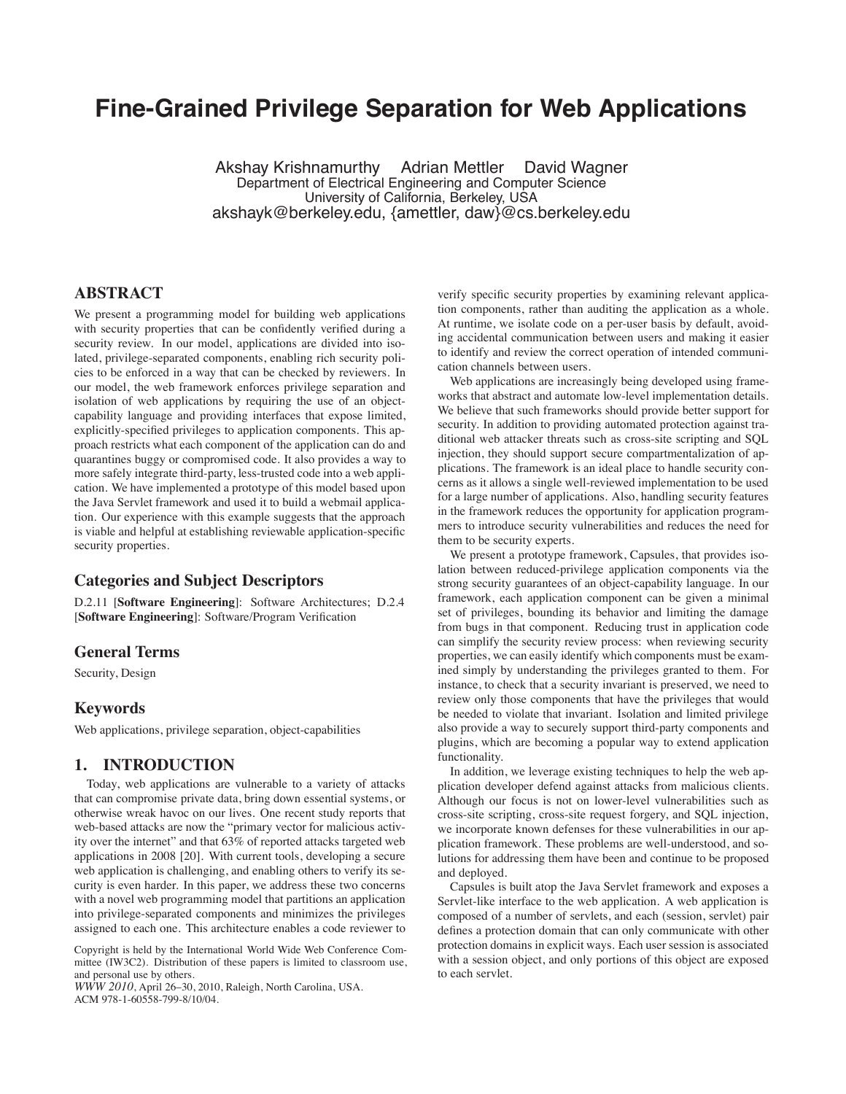# **Fine-Grained Privilege Separation for Web Applications**

Akshay Krishnamurthy Adrian Mettler David Wagner Department of Electrical Engineering and Computer Science University of California, Berkeley, USA akshayk@berkeley.edu, {amettler, daw}@cs.berkeley.edu

# **ABSTRACT**

We present a programming model for building web applications with security properties that can be confidently verified during a security review. In our model, applications are divided into isolated, privilege-separated components, enabling rich security policies to be enforced in a way that can be checked by reviewers. In our model, the web framework enforces privilege separation and isolation of web applications by requiring the use of an objectcapability language and providing interfaces that expose limited, explicitly-specified privileges to application components. This approach restricts what each component of the application can do and quarantines buggy or compromised code. It also provides a way to more safely integrate third-party, less-trusted code into a web application. We have implemented a prototype of this model based upon the Java Servlet framework and used it to build a webmail application. Our experience with this example suggests that the approach is viable and helpful at establishing reviewable application-specific security properties.

#### **Categories and Subject Descriptors**

D.2.11 [**Software Engineering**]: Software Architectures; D.2.4 [**Software Engineering**]: Software/Program Verification

## **General Terms**

Security, Design

## **Keywords**

Web applications, privilege separation, object-capabilities

## **1. INTRODUCTION**

Today, web applications are vulnerable to a variety of attacks that can compromise private data, bring down essential systems, or otherwise wreak havoc on our lives. One recent study reports that web-based attacks are now the "primary vector for malicious activity over the internet" and that 63% of reported attacks targeted web applications in 2008 [20]. With current tools, developing a secure web application is challenging, and enabling others to verify its security is even harder. In this paper, we address these two concerns with a novel web programming model that partitions an application into privilege-separated components and minimizes the privileges assigned to each one. This architecture enables a code reviewer to

*WWW 2010*, April 26–30, 2010, Raleigh, North Carolina, USA. ACM 978-1-60558-799-8/10/04.

verify specific security properties by examining relevant application components, rather than auditing the application as a whole. At runtime, we isolate code on a per-user basis by default, avoiding accidental communication between users and making it easier to identify and review the correct operation of intended communication channels between users.

Web applications are increasingly being developed using frameworks that abstract and automate low-level implementation details. We believe that such frameworks should provide better support for security. In addition to providing automated protection against traditional web attacker threats such as cross-site scripting and SQL injection, they should support secure compartmentalization of applications. The framework is an ideal place to handle security concerns as it allows a single well-reviewed implementation to be used for a large number of applications. Also, handling security features in the framework reduces the opportunity for application programmers to introduce security vulnerabilities and reduces the need for them to be security experts.

We present a prototype framework, Capsules, that provides isolation between reduced-privilege application components via the strong security guarantees of an object-capability language. In our framework, each application component can be given a minimal set of privileges, bounding its behavior and limiting the damage from bugs in that component. Reducing trust in application code can simplify the security review process: when reviewing security properties, we can easily identify which components must be examined simply by understanding the privileges granted to them. For instance, to check that a security invariant is preserved, we need to review only those components that have the privileges that would be needed to violate that invariant. Isolation and limited privilege also provide a way to securely support third-party components and plugins, which are becoming a popular way to extend application functionality.

In addition, we leverage existing techniques to help the web application developer defend against attacks from malicious clients. Although our focus is not on lower-level vulnerabilities such as cross-site scripting, cross-site request forgery, and SQL injection, we incorporate known defenses for these vulnerabilities in our application framework. These problems are well-understood, and solutions for addressing them have been and continue to be proposed and deployed.

Capsules is built atop the Java Servlet framework and exposes a Servlet-like interface to the web application. A web application is composed of a number of servlets, and each (session, servlet) pair defines a protection domain that can only communicate with other protection domains in explicit ways. Each user session is associated with a session object, and only portions of this object are exposed to each servlet.

Copyright is held by the International World Wide Web Conference Committee (IW3C2). Distribution of these papers is limited to classroom use, and personal use by others.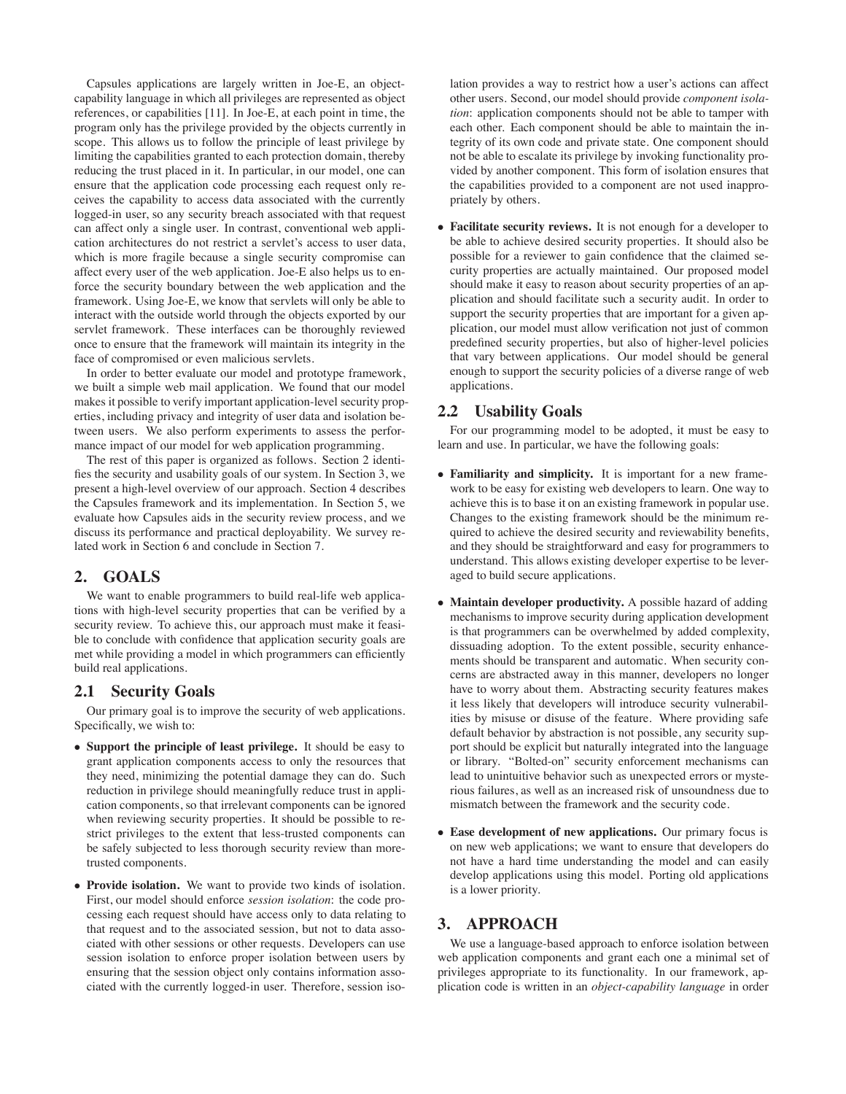Capsules applications are largely written in Joe-E, an objectcapability language in which all privileges are represented as object references, or capabilities [11]. In Joe-E, at each point in time, the program only has the privilege provided by the objects currently in scope. This allows us to follow the principle of least privilege by limiting the capabilities granted to each protection domain, thereby reducing the trust placed in it. In particular, in our model, one can ensure that the application code processing each request only receives the capability to access data associated with the currently logged-in user, so any security breach associated with that request can affect only a single user. In contrast, conventional web application architectures do not restrict a servlet's access to user data, which is more fragile because a single security compromise can affect every user of the web application. Joe-E also helps us to enforce the security boundary between the web application and the framework. Using Joe-E, we know that servlets will only be able to interact with the outside world through the objects exported by our servlet framework. These interfaces can be thoroughly reviewed once to ensure that the framework will maintain its integrity in the face of compromised or even malicious servlets.

In order to better evaluate our model and prototype framework, we built a simple web mail application. We found that our model makes it possible to verify important application-level security properties, including privacy and integrity of user data and isolation between users. We also perform experiments to assess the performance impact of our model for web application programming.

The rest of this paper is organized as follows. Section 2 identifies the security and usability goals of our system. In Section 3, we present a high-level overview of our approach. Section 4 describes the Capsules framework and its implementation. In Section 5, we evaluate how Capsules aids in the security review process, and we discuss its performance and practical deployability. We survey related work in Section 6 and conclude in Section 7.

# **2. GOALS**

We want to enable programmers to build real-life web applications with high-level security properties that can be verified by a security review. To achieve this, our approach must make it feasible to conclude with confidence that application security goals are met while providing a model in which programmers can efficiently build real applications.

#### **2.1 Security Goals**

Our primary goal is to improve the security of web applications. Specifically, we wish to:

- **Support the principle of least privilege.** It should be easy to grant application components access to only the resources that they need, minimizing the potential damage they can do. Such reduction in privilege should meaningfully reduce trust in application components, so that irrelevant components can be ignored when reviewing security properties. It should be possible to restrict privileges to the extent that less-trusted components can be safely subjected to less thorough security review than moretrusted components.
- **Provide isolation.** We want to provide two kinds of isolation. First, our model should enforce *session isolation*: the code processing each request should have access only to data relating to that request and to the associated session, but not to data associated with other sessions or other requests. Developers can use session isolation to enforce proper isolation between users by ensuring that the session object only contains information associated with the currently logged-in user. Therefore, session iso-

lation provides a way to restrict how a user's actions can affect other users. Second, our model should provide *component isolation*: application components should not be able to tamper with each other. Each component should be able to maintain the integrity of its own code and private state. One component should not be able to escalate its privilege by invoking functionality provided by another component. This form of isolation ensures that the capabilities provided to a component are not used inappropriately by others.

• **Facilitate security reviews.** It is not enough for a developer to be able to achieve desired security properties. It should also be possible for a reviewer to gain confidence that the claimed security properties are actually maintained. Our proposed model should make it easy to reason about security properties of an application and should facilitate such a security audit. In order to support the security properties that are important for a given application, our model must allow verification not just of common predefined security properties, but also of higher-level policies that vary between applications. Our model should be general enough to support the security policies of a diverse range of web applications.

# **2.2 Usability Goals**

For our programming model to be adopted, it must be easy to learn and use. In particular, we have the following goals:

- **Familiarity and simplicity.** It is important for a new framework to be easy for existing web developers to learn. One way to achieve this is to base it on an existing framework in popular use. Changes to the existing framework should be the minimum required to achieve the desired security and reviewability benefits, and they should be straightforward and easy for programmers to understand. This allows existing developer expertise to be leveraged to build secure applications.
- **Maintain developer productivity.** A possible hazard of adding mechanisms to improve security during application development is that programmers can be overwhelmed by added complexity, dissuading adoption. To the extent possible, security enhancements should be transparent and automatic. When security concerns are abstracted away in this manner, developers no longer have to worry about them. Abstracting security features makes it less likely that developers will introduce security vulnerabilities by misuse or disuse of the feature. Where providing safe default behavior by abstraction is not possible, any security support should be explicit but naturally integrated into the language or library. "Bolted-on" security enforcement mechanisms can lead to unintuitive behavior such as unexpected errors or mysterious failures, as well as an increased risk of unsoundness due to mismatch between the framework and the security code.
- **Ease development of new applications.** Our primary focus is on new web applications; we want to ensure that developers do not have a hard time understanding the model and can easily develop applications using this model. Porting old applications is a lower priority.

# **3. APPROACH**

We use a language-based approach to enforce isolation between web application components and grant each one a minimal set of privileges appropriate to its functionality. In our framework, application code is written in an *object-capability language* in order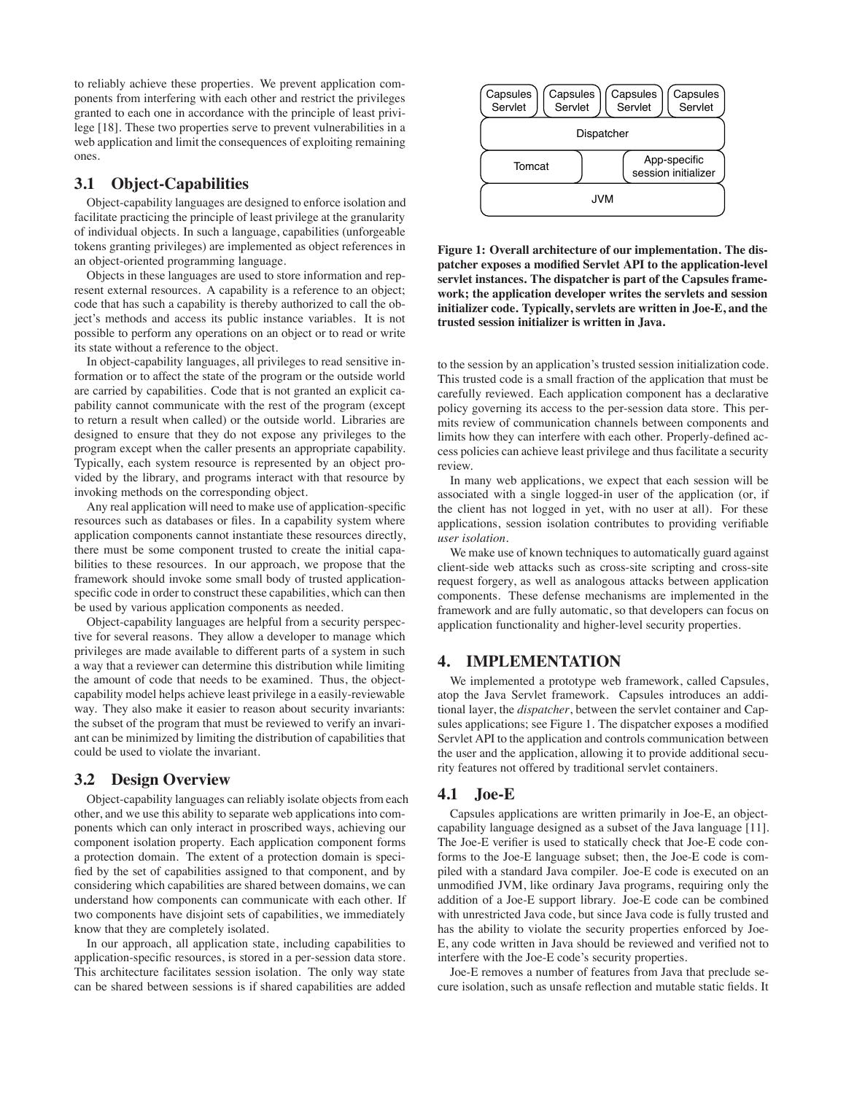to reliably achieve these properties. We prevent application components from interfering with each other and restrict the privileges granted to each one in accordance with the principle of least privilege [18]. These two properties serve to prevent vulnerabilities in a web application and limit the consequences of exploiting remaining ones.

### **3.1 Object-Capabilities**

Object-capability languages are designed to enforce isolation and facilitate practicing the principle of least privilege at the granularity of individual objects. In such a language, capabilities (unforgeable tokens granting privileges) are implemented as object references in an object-oriented programming language.

Objects in these languages are used to store information and represent external resources. A capability is a reference to an object; code that has such a capability is thereby authorized to call the object's methods and access its public instance variables. It is not possible to perform any operations on an object or to read or write its state without a reference to the object.

In object-capability languages, all privileges to read sensitive information or to affect the state of the program or the outside world are carried by capabilities. Code that is not granted an explicit capability cannot communicate with the rest of the program (except to return a result when called) or the outside world. Libraries are designed to ensure that they do not expose any privileges to the program except when the caller presents an appropriate capability. Typically, each system resource is represented by an object provided by the library, and programs interact with that resource by invoking methods on the corresponding object.

Any real application will need to make use of application-specific resources such as databases or files. In a capability system where application components cannot instantiate these resources directly, there must be some component trusted to create the initial capabilities to these resources. In our approach, we propose that the framework should invoke some small body of trusted applicationspecific code in order to construct these capabilities, which can then be used by various application components as needed.

Object-capability languages are helpful from a security perspective for several reasons. They allow a developer to manage which privileges are made available to different parts of a system in such a way that a reviewer can determine this distribution while limiting the amount of code that needs to be examined. Thus, the objectcapability model helps achieve least privilege in a easily-reviewable way. They also make it easier to reason about security invariants: the subset of the program that must be reviewed to verify an invariant can be minimized by limiting the distribution of capabilities that could be used to violate the invariant.

#### **3.2 Design Overview**

Object-capability languages can reliably isolate objects from each other, and we use this ability to separate web applications into components which can only interact in proscribed ways, achieving our component isolation property. Each application component forms a protection domain. The extent of a protection domain is specified by the set of capabilities assigned to that component, and by considering which capabilities are shared between domains, we can understand how components can communicate with each other. If two components have disjoint sets of capabilities, we immediately know that they are completely isolated.

In our approach, all application state, including capabilities to application-specific resources, is stored in a per-session data store. This architecture facilitates session isolation. The only way state can be shared between sessions is if shared capabilities are added



**Figure 1: Overall architecture of our implementation. The dispatcher exposes a modified Servlet API to the application-level servlet instances. The dispatcher is part of the Capsules framework; the application developer writes the servlets and session initializer code. Typically, servlets are written in Joe-E, and the trusted session initializer is written in Java.**

to the session by an application's trusted session initialization code. This trusted code is a small fraction of the application that must be carefully reviewed. Each application component has a declarative policy governing its access to the per-session data store. This permits review of communication channels between components and limits how they can interfere with each other. Properly-defined access policies can achieve least privilege and thus facilitate a security review.

In many web applications, we expect that each session will be associated with a single logged-in user of the application (or, if the client has not logged in yet, with no user at all). For these applications, session isolation contributes to providing verifiable *user isolation*.

We make use of known techniques to automatically guard against client-side web attacks such as cross-site scripting and cross-site request forgery, as well as analogous attacks between application components. These defense mechanisms are implemented in the framework and are fully automatic, so that developers can focus on application functionality and higher-level security properties.

# **4. IMPLEMENTATION**

We implemented a prototype web framework, called Capsules, atop the Java Servlet framework. Capsules introduces an additional layer, the *dispatcher*, between the servlet container and Capsules applications; see Figure 1. The dispatcher exposes a modified Servlet API to the application and controls communication between the user and the application, allowing it to provide additional security features not offered by traditional servlet containers.

#### **4.1 Joe-E**

Capsules applications are written primarily in Joe-E, an objectcapability language designed as a subset of the Java language [11]. The Joe-E verifier is used to statically check that Joe-E code conforms to the Joe-E language subset; then, the Joe-E code is compiled with a standard Java compiler. Joe-E code is executed on an unmodified JVM, like ordinary Java programs, requiring only the addition of a Joe-E support library. Joe-E code can be combined with unrestricted Java code, but since Java code is fully trusted and has the ability to violate the security properties enforced by Joe-E, any code written in Java should be reviewed and verified not to interfere with the Joe-E code's security properties.

Joe-E removes a number of features from Java that preclude secure isolation, such as unsafe reflection and mutable static fields. It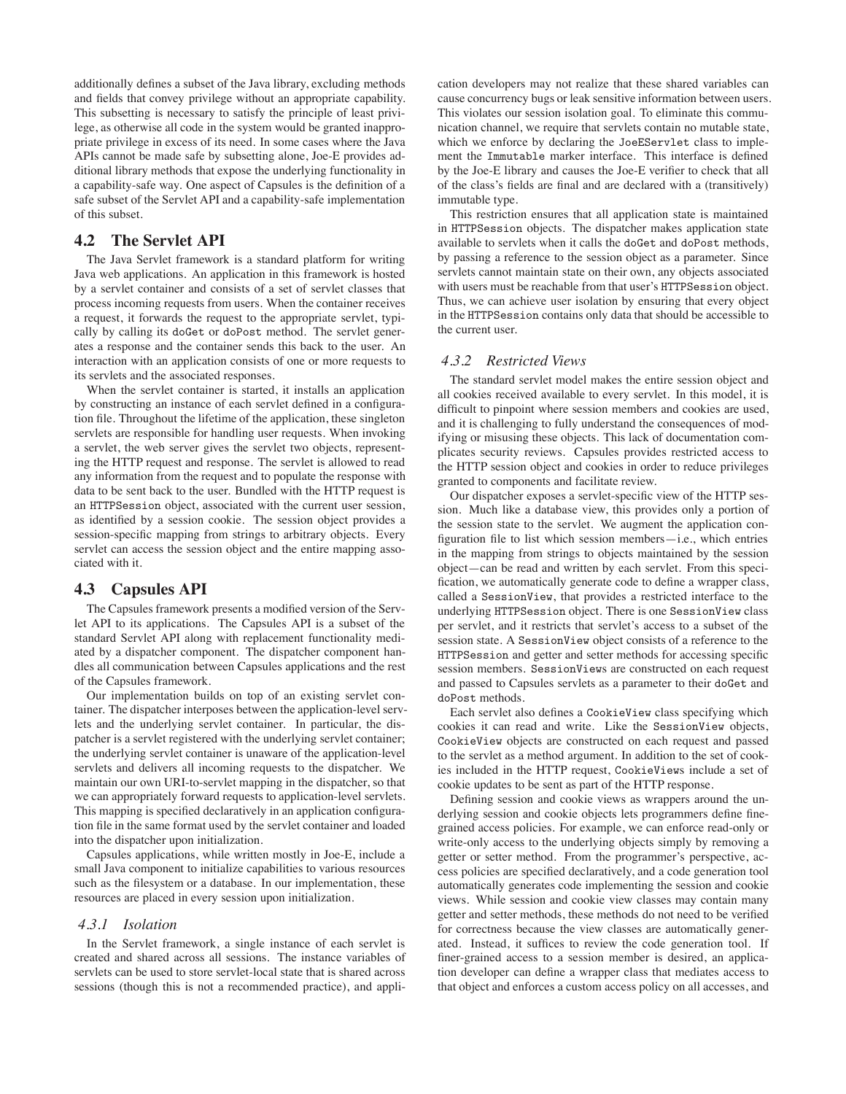additionally defines a subset of the Java library, excluding methods and fields that convey privilege without an appropriate capability. This subsetting is necessary to satisfy the principle of least privilege, as otherwise all code in the system would be granted inappropriate privilege in excess of its need. In some cases where the Java APIs cannot be made safe by subsetting alone, Joe-E provides additional library methods that expose the underlying functionality in a capability-safe way. One aspect of Capsules is the definition of a safe subset of the Servlet API and a capability-safe implementation of this subset.

## **4.2 The Servlet API**

The Java Servlet framework is a standard platform for writing Java web applications. An application in this framework is hosted by a servlet container and consists of a set of servlet classes that process incoming requests from users. When the container receives a request, it forwards the request to the appropriate servlet, typically by calling its doGet or doPost method. The servlet generates a response and the container sends this back to the user. An interaction with an application consists of one or more requests to its servlets and the associated responses.

When the servlet container is started, it installs an application by constructing an instance of each servlet defined in a configuration file. Throughout the lifetime of the application, these singleton servlets are responsible for handling user requests. When invoking a servlet, the web server gives the servlet two objects, representing the HTTP request and response. The servlet is allowed to read any information from the request and to populate the response with data to be sent back to the user. Bundled with the HTTP request is an HTTPSession object, associated with the current user session, as identified by a session cookie. The session object provides a session-specific mapping from strings to arbitrary objects. Every servlet can access the session object and the entire mapping associated with it.

#### **4.3 Capsules API**

The Capsules framework presents a modified version of the Servlet API to its applications. The Capsules API is a subset of the standard Servlet API along with replacement functionality mediated by a dispatcher component. The dispatcher component handles all communication between Capsules applications and the rest of the Capsules framework.

Our implementation builds on top of an existing servlet container. The dispatcher interposes between the application-level servlets and the underlying servlet container. In particular, the dispatcher is a servlet registered with the underlying servlet container; the underlying servlet container is unaware of the application-level servlets and delivers all incoming requests to the dispatcher. We maintain our own URI-to-servlet mapping in the dispatcher, so that we can appropriately forward requests to application-level servlets. This mapping is specified declaratively in an application configuration file in the same format used by the servlet container and loaded into the dispatcher upon initialization.

Capsules applications, while written mostly in Joe-E, include a small Java component to initialize capabilities to various resources such as the filesystem or a database. In our implementation, these resources are placed in every session upon initialization.

#### *4.3.1 Isolation*

In the Servlet framework, a single instance of each servlet is created and shared across all sessions. The instance variables of servlets can be used to store servlet-local state that is shared across sessions (though this is not a recommended practice), and application developers may not realize that these shared variables can cause concurrency bugs or leak sensitive information between users. This violates our session isolation goal. To eliminate this communication channel, we require that servlets contain no mutable state, which we enforce by declaring the JoeEServlet class to implement the Immutable marker interface. This interface is defined by the Joe-E library and causes the Joe-E verifier to check that all of the class's fields are final and are declared with a (transitively) immutable type.

This restriction ensures that all application state is maintained in HTTPSession objects. The dispatcher makes application state available to servlets when it calls the doGet and doPost methods, by passing a reference to the session object as a parameter. Since servlets cannot maintain state on their own, any objects associated with users must be reachable from that user's HTTPSession object. Thus, we can achieve user isolation by ensuring that every object in the HTTPSession contains only data that should be accessible to the current user.

#### *4.3.2 Restricted Views*

The standard servlet model makes the entire session object and all cookies received available to every servlet. In this model, it is difficult to pinpoint where session members and cookies are used, and it is challenging to fully understand the consequences of modifying or misusing these objects. This lack of documentation complicates security reviews. Capsules provides restricted access to the HTTP session object and cookies in order to reduce privileges granted to components and facilitate review.

Our dispatcher exposes a servlet-specific view of the HTTP session. Much like a database view, this provides only a portion of the session state to the servlet. We augment the application configuration file to list which session members—i.e., which entries in the mapping from strings to objects maintained by the session object—can be read and written by each servlet. From this specification, we automatically generate code to define a wrapper class, called a SessionView, that provides a restricted interface to the underlying HTTPSession object. There is one SessionView class per servlet, and it restricts that servlet's access to a subset of the session state. A SessionView object consists of a reference to the HTTPSession and getter and setter methods for accessing specific session members. SessionViews are constructed on each request and passed to Capsules servlets as a parameter to their doGet and doPost methods.

Each servlet also defines a CookieView class specifying which cookies it can read and write. Like the SessionView objects, CookieView objects are constructed on each request and passed to the servlet as a method argument. In addition to the set of cookies included in the HTTP request, CookieViews include a set of cookie updates to be sent as part of the HTTP response.

Defining session and cookie views as wrappers around the underlying session and cookie objects lets programmers define finegrained access policies. For example, we can enforce read-only or write-only access to the underlying objects simply by removing a getter or setter method. From the programmer's perspective, access policies are specified declaratively, and a code generation tool automatically generates code implementing the session and cookie views. While session and cookie view classes may contain many getter and setter methods, these methods do not need to be verified for correctness because the view classes are automatically generated. Instead, it suffices to review the code generation tool. If finer-grained access to a session member is desired, an application developer can define a wrapper class that mediates access to that object and enforces a custom access policy on all accesses, and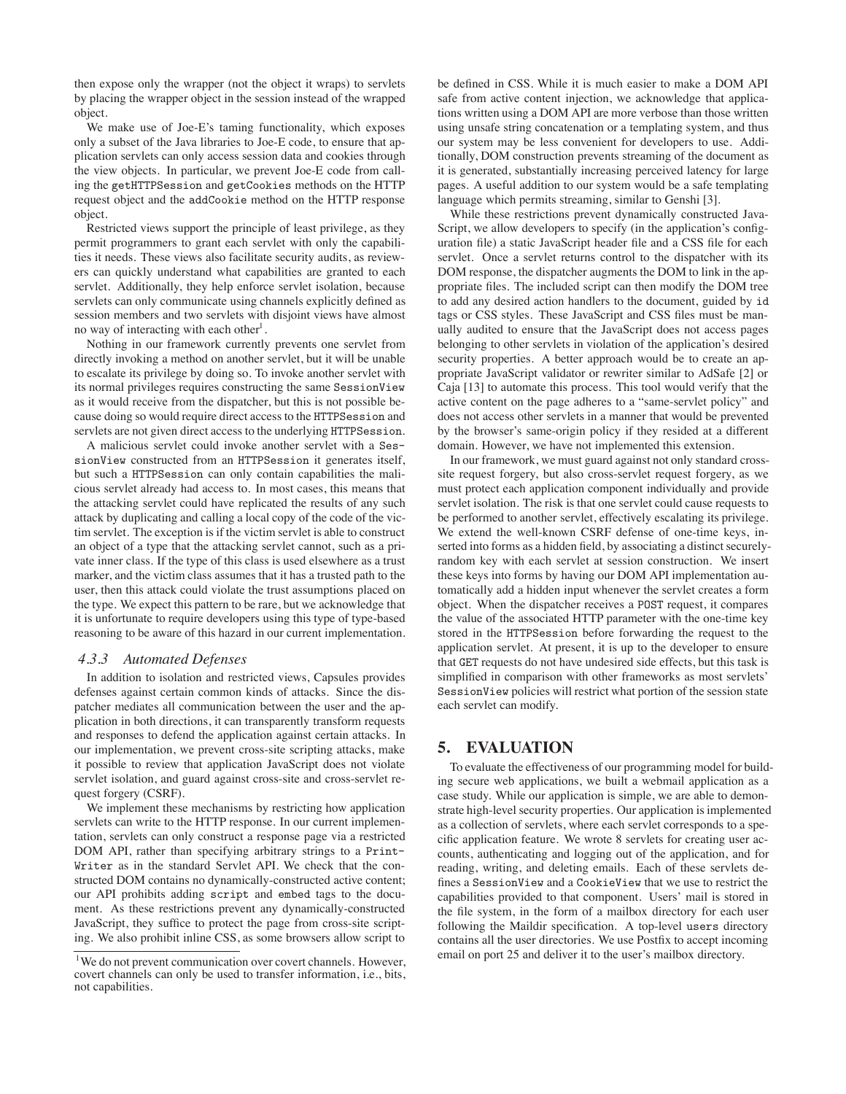then expose only the wrapper (not the object it wraps) to servlets by placing the wrapper object in the session instead of the wrapped object.

We make use of Joe-E's taming functionality, which exposes only a subset of the Java libraries to Joe-E code, to ensure that application servlets can only access session data and cookies through the view objects. In particular, we prevent Joe-E code from calling the getHTTPSession and getCookies methods on the HTTP request object and the addCookie method on the HTTP response object.

Restricted views support the principle of least privilege, as they permit programmers to grant each servlet with only the capabilities it needs. These views also facilitate security audits, as reviewers can quickly understand what capabilities are granted to each servlet. Additionally, they help enforce servlet isolation, because servlets can only communicate using channels explicitly defined as session members and two servlets with disjoint views have almost no way of interacting with each other<sup>1</sup>.

Nothing in our framework currently prevents one servlet from directly invoking a method on another servlet, but it will be unable to escalate its privilege by doing so. To invoke another servlet with its normal privileges requires constructing the same SessionView as it would receive from the dispatcher, but this is not possible because doing so would require direct access to the HTTPSession and servlets are not given direct access to the underlying HTTPSession.

A malicious servlet could invoke another servlet with a SessionView constructed from an HTTPSession it generates itself, but such a HTTPSession can only contain capabilities the malicious servlet already had access to. In most cases, this means that the attacking servlet could have replicated the results of any such attack by duplicating and calling a local copy of the code of the victim servlet. The exception is if the victim servlet is able to construct an object of a type that the attacking servlet cannot, such as a private inner class. If the type of this class is used elsewhere as a trust marker, and the victim class assumes that it has a trusted path to the user, then this attack could violate the trust assumptions placed on the type. We expect this pattern to be rare, but we acknowledge that it is unfortunate to require developers using this type of type-based reasoning to be aware of this hazard in our current implementation.

#### *4.3.3 Automated Defenses*

In addition to isolation and restricted views, Capsules provides defenses against certain common kinds of attacks. Since the dispatcher mediates all communication between the user and the application in both directions, it can transparently transform requests and responses to defend the application against certain attacks. In our implementation, we prevent cross-site scripting attacks, make it possible to review that application JavaScript does not violate servlet isolation, and guard against cross-site and cross-servlet request forgery (CSRF).

We implement these mechanisms by restricting how application servlets can write to the HTTP response. In our current implementation, servlets can only construct a response page via a restricted DOM API, rather than specifying arbitrary strings to a Print-Writer as in the standard Servlet API. We check that the constructed DOM contains no dynamically-constructed active content; our API prohibits adding script and embed tags to the document. As these restrictions prevent any dynamically-constructed JavaScript, they suffice to protect the page from cross-site scripting. We also prohibit inline CSS, as some browsers allow script to be defined in CSS. While it is much easier to make a DOM API safe from active content injection, we acknowledge that applications written using a DOM API are more verbose than those written using unsafe string concatenation or a templating system, and thus our system may be less convenient for developers to use. Additionally, DOM construction prevents streaming of the document as it is generated, substantially increasing perceived latency for large pages. A useful addition to our system would be a safe templating language which permits streaming, similar to Genshi [3].

While these restrictions prevent dynamically constructed Java-Script, we allow developers to specify (in the application's configuration file) a static JavaScript header file and a CSS file for each servlet. Once a servlet returns control to the dispatcher with its DOM response, the dispatcher augments the DOM to link in the appropriate files. The included script can then modify the DOM tree to add any desired action handlers to the document, guided by id tags or CSS styles. These JavaScript and CSS files must be manually audited to ensure that the JavaScript does not access pages belonging to other servlets in violation of the application's desired security properties. A better approach would be to create an appropriate JavaScript validator or rewriter similar to AdSafe [2] or Caja [13] to automate this process. This tool would verify that the active content on the page adheres to a "same-servlet policy" and does not access other servlets in a manner that would be prevented by the browser's same-origin policy if they resided at a different domain. However, we have not implemented this extension.

In our framework, we must guard against not only standard crosssite request forgery, but also cross-servlet request forgery, as we must protect each application component individually and provide servlet isolation. The risk is that one servlet could cause requests to be performed to another servlet, effectively escalating its privilege. We extend the well-known CSRF defense of one-time keys, inserted into forms as a hidden field, by associating a distinct securelyrandom key with each servlet at session construction. We insert these keys into forms by having our DOM API implementation automatically add a hidden input whenever the servlet creates a form object. When the dispatcher receives a POST request, it compares the value of the associated HTTP parameter with the one-time key stored in the HTTPSession before forwarding the request to the application servlet. At present, it is up to the developer to ensure that GET requests do not have undesired side effects, but this task is simplified in comparison with other frameworks as most servlets' SessionView policies will restrict what portion of the session state each servlet can modify.

## **5. EVALUATION**

To evaluate the effectiveness of our programming model for building secure web applications, we built a webmail application as a case study. While our application is simple, we are able to demonstrate high-level security properties. Our application is implemented as a collection of servlets, where each servlet corresponds to a specific application feature. We wrote 8 servlets for creating user accounts, authenticating and logging out of the application, and for reading, writing, and deleting emails. Each of these servlets defines a SessionView and a CookieView that we use to restrict the capabilities provided to that component. Users' mail is stored in the file system, in the form of a mailbox directory for each user following the Maildir specification. A top-level users directory contains all the user directories. We use Postfix to accept incoming email on port 25 and deliver it to the user's mailbox directory.

<sup>&</sup>lt;sup>1</sup>We do not prevent communication over covert channels. However, covert channels can only be used to transfer information, i.e., bits, not capabilities.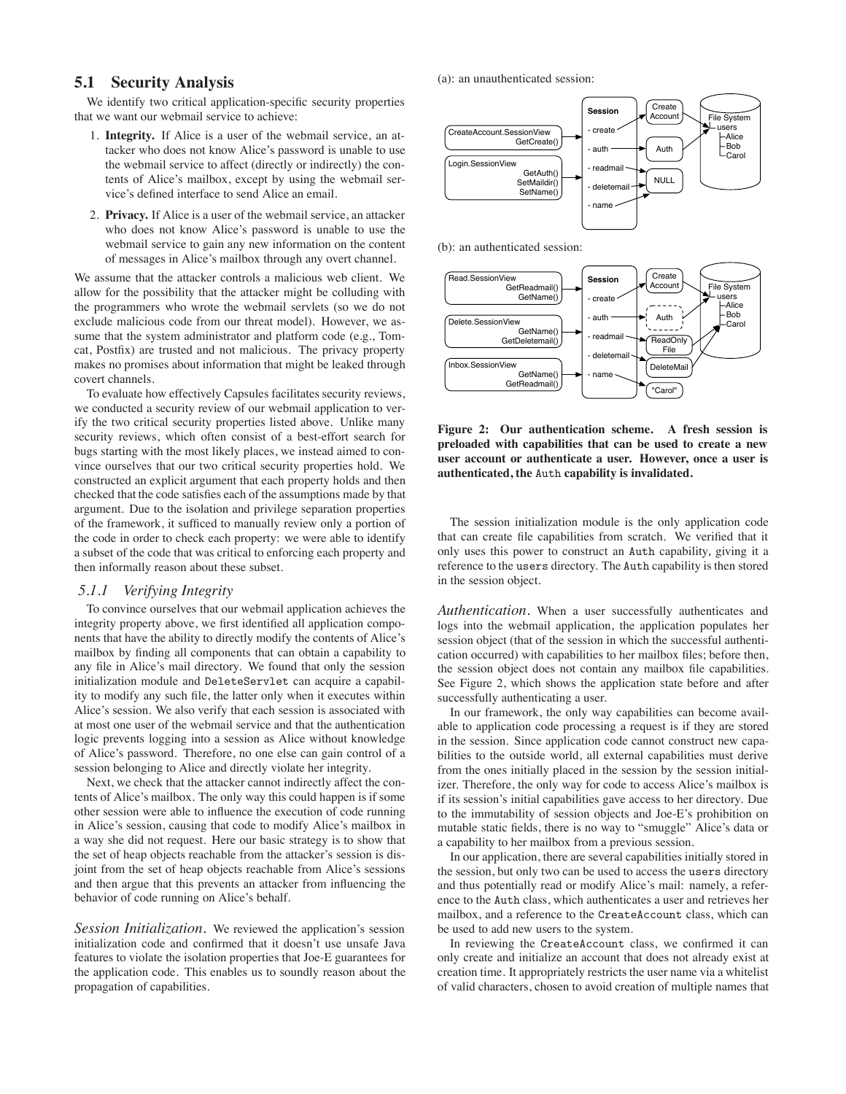# **5.1 Security Analysis**

We identify two critical application-specific security properties that we want our webmail service to achieve:

- 1. **Integrity.** If Alice is a user of the webmail service, an attacker who does not know Alice's password is unable to use the webmail service to affect (directly or indirectly) the contents of Alice's mailbox, except by using the webmail service's defined interface to send Alice an email.
- 2. **Privacy.** If Alice is a user of the webmail service, an attacker who does not know Alice's password is unable to use the webmail service to gain any new information on the content of messages in Alice's mailbox through any overt channel.

We assume that the attacker controls a malicious web client. We allow for the possibility that the attacker might be colluding with the programmers who wrote the webmail servlets (so we do not exclude malicious code from our threat model). However, we assume that the system administrator and platform code (e.g., Tomcat, Postfix) are trusted and not malicious. The privacy property makes no promises about information that might be leaked through covert channels.

To evaluate how effectively Capsules facilitates security reviews, we conducted a security review of our webmail application to verify the two critical security properties listed above. Unlike many security reviews, which often consist of a best-effort search for bugs starting with the most likely places, we instead aimed to convince ourselves that our two critical security properties hold. We constructed an explicit argument that each property holds and then checked that the code satisfies each of the assumptions made by that argument. Due to the isolation and privilege separation properties of the framework, it sufficed to manually review only a portion of the code in order to check each property: we were able to identify a subset of the code that was critical to enforcing each property and then informally reason about these subset.

## *5.1.1 Verifying Integrity*

To convince ourselves that our webmail application achieves the integrity property above, we first identified all application components that have the ability to directly modify the contents of Alice's mailbox by finding all components that can obtain a capability to any file in Alice's mail directory. We found that only the session initialization module and DeleteServlet can acquire a capability to modify any such file, the latter only when it executes within Alice's session. We also verify that each session is associated with at most one user of the webmail service and that the authentication logic prevents logging into a session as Alice without knowledge of Alice's password. Therefore, no one else can gain control of a session belonging to Alice and directly violate her integrity.

Next, we check that the attacker cannot indirectly affect the contents of Alice's mailbox. The only way this could happen is if some other session were able to influence the execution of code running in Alice's session, causing that code to modify Alice's mailbox in a way she did not request. Here our basic strategy is to show that the set of heap objects reachable from the attacker's session is disjoint from the set of heap objects reachable from Alice's sessions and then argue that this prevents an attacker from influencing the behavior of code running on Alice's behalf.

*Session Initialization.* We reviewed the application's session initialization code and confirmed that it doesn't use unsafe Java features to violate the isolation properties that Joe-E guarantees for the application code. This enables us to soundly reason about the propagation of capabilities.

(a): an unauthenticated session:



(b): an authenticated session:



**Figure 2: Our authentication scheme. A fresh session is preloaded with capabilities that can be used to create a new user account or authenticate a user. However, once a user is authenticated, the** Auth **capability is invalidated.**

The session initialization module is the only application code that can create file capabilities from scratch. We verified that it only uses this power to construct an Auth capability, giving it a reference to the users directory. The Auth capability is then stored in the session object.

*Authentication.* When a user successfully authenticates and logs into the webmail application, the application populates her session object (that of the session in which the successful authentication occurred) with capabilities to her mailbox files; before then, the session object does not contain any mailbox file capabilities. See Figure 2, which shows the application state before and after successfully authenticating a user.

In our framework, the only way capabilities can become available to application code processing a request is if they are stored in the session. Since application code cannot construct new capabilities to the outside world, all external capabilities must derive from the ones initially placed in the session by the session initializer. Therefore, the only way for code to access Alice's mailbox is if its session's initial capabilities gave access to her directory. Due to the immutability of session objects and Joe-E's prohibition on mutable static fields, there is no way to "smuggle" Alice's data or a capability to her mailbox from a previous session.

In our application, there are several capabilities initially stored in the session, but only two can be used to access the users directory and thus potentially read or modify Alice's mail: namely, a reference to the Auth class, which authenticates a user and retrieves her mailbox, and a reference to the CreateAccount class, which can be used to add new users to the system.

In reviewing the CreateAccount class, we confirmed it can only create and initialize an account that does not already exist at creation time. It appropriately restricts the user name via a whitelist of valid characters, chosen to avoid creation of multiple names that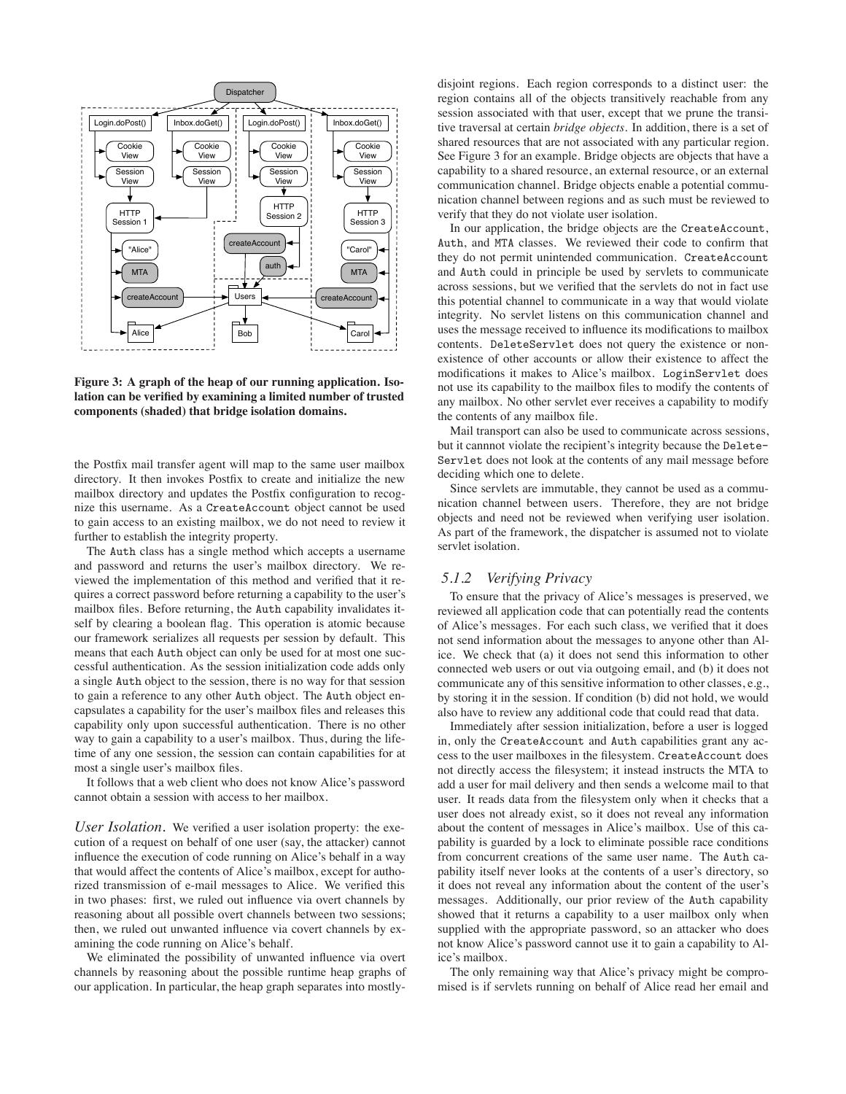

**Figure 3: A graph of the heap of our running application. Isolation can be verified by examining a limited number of trusted components (shaded) that bridge isolation domains.**

the Postfix mail transfer agent will map to the same user mailbox directory. It then invokes Postfix to create and initialize the new mailbox directory and updates the Postfix configuration to recognize this username. As a CreateAccount object cannot be used to gain access to an existing mailbox, we do not need to review it further to establish the integrity property.

The Auth class has a single method which accepts a username and password and returns the user's mailbox directory. We reviewed the implementation of this method and verified that it requires a correct password before returning a capability to the user's mailbox files. Before returning, the Auth capability invalidates itself by clearing a boolean flag. This operation is atomic because our framework serializes all requests per session by default. This means that each Auth object can only be used for at most one successful authentication. As the session initialization code adds only a single Auth object to the session, there is no way for that session to gain a reference to any other Auth object. The Auth object encapsulates a capability for the user's mailbox files and releases this capability only upon successful authentication. There is no other way to gain a capability to a user's mailbox. Thus, during the lifetime of any one session, the session can contain capabilities for at most a single user's mailbox files.

It follows that a web client who does not know Alice's password cannot obtain a session with access to her mailbox.

*User Isolation.* We verified a user isolation property: the execution of a request on behalf of one user (say, the attacker) cannot influence the execution of code running on Alice's behalf in a way that would affect the contents of Alice's mailbox, except for authorized transmission of e-mail messages to Alice. We verified this in two phases: first, we ruled out influence via overt channels by reasoning about all possible overt channels between two sessions; then, we ruled out unwanted influence via covert channels by examining the code running on Alice's behalf.

We eliminated the possibility of unwanted influence via overt channels by reasoning about the possible runtime heap graphs of our application. In particular, the heap graph separates into mostlydisjoint regions. Each region corresponds to a distinct user: the region contains all of the objects transitively reachable from any session associated with that user, except that we prune the transitive traversal at certain *bridge objects*. In addition, there is a set of shared resources that are not associated with any particular region. See Figure 3 for an example. Bridge objects are objects that have a capability to a shared resource, an external resource, or an external communication channel. Bridge objects enable a potential communication channel between regions and as such must be reviewed to verify that they do not violate user isolation.

In our application, the bridge objects are the CreateAccount, Auth, and MTA classes. We reviewed their code to confirm that they do not permit unintended communication. CreateAccount and Auth could in principle be used by servlets to communicate across sessions, but we verified that the servlets do not in fact use this potential channel to communicate in a way that would violate integrity. No servlet listens on this communication channel and uses the message received to influence its modifications to mailbox contents. DeleteServlet does not query the existence or nonexistence of other accounts or allow their existence to affect the modifications it makes to Alice's mailbox. LoginServlet does not use its capability to the mailbox files to modify the contents of any mailbox. No other servlet ever receives a capability to modify the contents of any mailbox file.

Mail transport can also be used to communicate across sessions, but it cannnot violate the recipient's integrity because the Delete-Servlet does not look at the contents of any mail message before deciding which one to delete.

Since servlets are immutable, they cannot be used as a communication channel between users. Therefore, they are not bridge objects and need not be reviewed when verifying user isolation. As part of the framework, the dispatcher is assumed not to violate servlet isolation.

#### *5.1.2 Verifying Privacy*

To ensure that the privacy of Alice's messages is preserved, we reviewed all application code that can potentially read the contents of Alice's messages. For each such class, we verified that it does not send information about the messages to anyone other than Alice. We check that (a) it does not send this information to other connected web users or out via outgoing email, and (b) it does not communicate any of this sensitive information to other classes, e.g., by storing it in the session. If condition (b) did not hold, we would also have to review any additional code that could read that data.

Immediately after session initialization, before a user is logged in, only the CreateAccount and Auth capabilities grant any access to the user mailboxes in the filesystem. CreateAccount does not directly access the filesystem; it instead instructs the MTA to add a user for mail delivery and then sends a welcome mail to that user. It reads data from the filesystem only when it checks that a user does not already exist, so it does not reveal any information about the content of messages in Alice's mailbox. Use of this capability is guarded by a lock to eliminate possible race conditions from concurrent creations of the same user name. The Auth capability itself never looks at the contents of a user's directory, so it does not reveal any information about the content of the user's messages. Additionally, our prior review of the Auth capability showed that it returns a capability to a user mailbox only when supplied with the appropriate password, so an attacker who does not know Alice's password cannot use it to gain a capability to Alice's mailbox.

The only remaining way that Alice's privacy might be compromised is if servlets running on behalf of Alice read her email and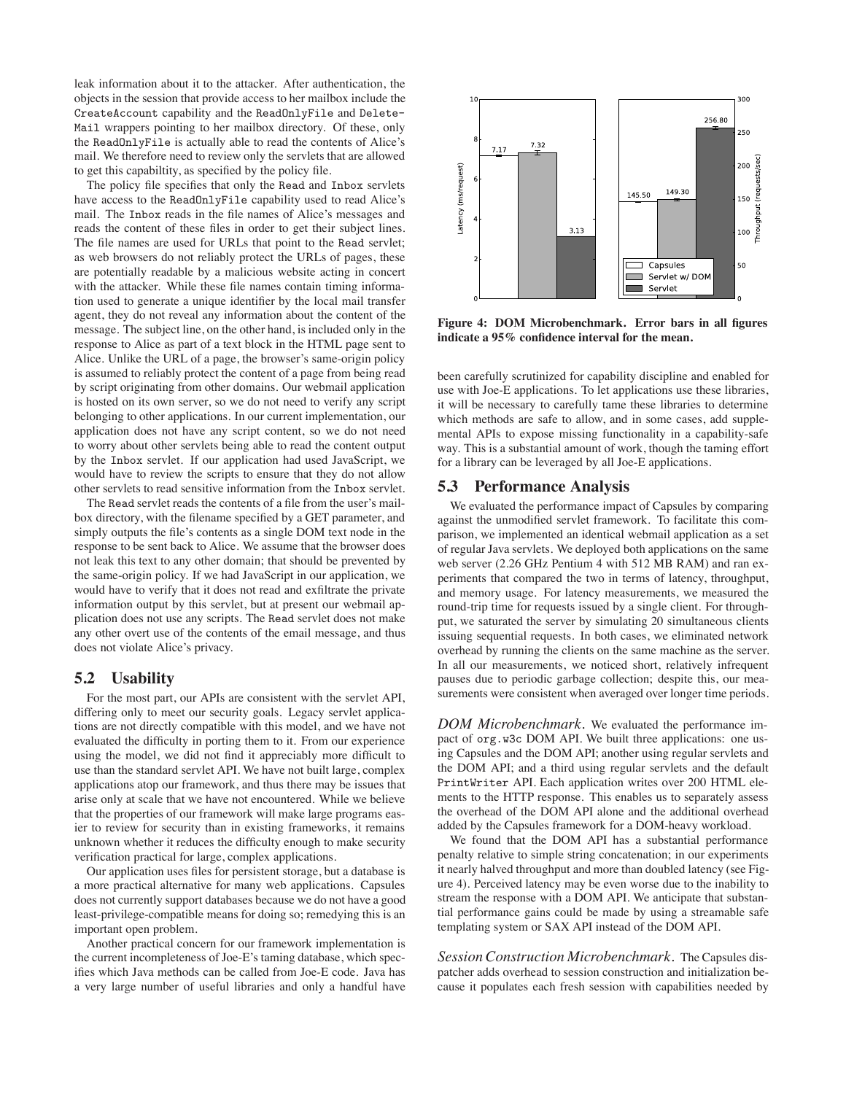leak information about it to the attacker. After authentication, the objects in the session that provide access to her mailbox include the CreateAccount capability and the ReadOnlyFile and Delete-Mail wrappers pointing to her mailbox directory. Of these, only the ReadOnlyFile is actually able to read the contents of Alice's mail. We therefore need to review only the servlets that are allowed to get this capabiltity, as specified by the policy file.

The policy file specifies that only the Read and Inbox servlets have access to the ReadOnlyFile capability used to read Alice's mail. The Inbox reads in the file names of Alice's messages and reads the content of these files in order to get their subject lines. The file names are used for URLs that point to the Read servlet; as web browsers do not reliably protect the URLs of pages, these are potentially readable by a malicious website acting in concert with the attacker. While these file names contain timing information used to generate a unique identifier by the local mail transfer agent, they do not reveal any information about the content of the message. The subject line, on the other hand, is included only in the response to Alice as part of a text block in the HTML page sent to Alice. Unlike the URL of a page, the browser's same-origin policy is assumed to reliably protect the content of a page from being read by script originating from other domains. Our webmail application is hosted on its own server, so we do not need to verify any script belonging to other applications. In our current implementation, our application does not have any script content, so we do not need to worry about other servlets being able to read the content output by the Inbox servlet. If our application had used JavaScript, we would have to review the scripts to ensure that they do not allow other servlets to read sensitive information from the Inbox servlet.

The Read servlet reads the contents of a file from the user's mailbox directory, with the filename specified by a GET parameter, and simply outputs the file's contents as a single DOM text node in the response to be sent back to Alice. We assume that the browser does not leak this text to any other domain; that should be prevented by the same-origin policy. If we had JavaScript in our application, we would have to verify that it does not read and exfiltrate the private information output by this servlet, but at present our webmail application does not use any scripts. The Read servlet does not make any other overt use of the contents of the email message, and thus does not violate Alice's privacy.

### **5.2 Usability**

For the most part, our APIs are consistent with the servlet API, differing only to meet our security goals. Legacy servlet applications are not directly compatible with this model, and we have not evaluated the difficulty in porting them to it. From our experience using the model, we did not find it appreciably more difficult to use than the standard servlet API. We have not built large, complex applications atop our framework, and thus there may be issues that arise only at scale that we have not encountered. While we believe that the properties of our framework will make large programs easier to review for security than in existing frameworks, it remains unknown whether it reduces the difficulty enough to make security verification practical for large, complex applications.

Our application uses files for persistent storage, but a database is a more practical alternative for many web applications. Capsules does not currently support databases because we do not have a good least-privilege-compatible means for doing so; remedying this is an important open problem.

Another practical concern for our framework implementation is the current incompleteness of Joe-E's taming database, which specifies which Java methods can be called from Joe-E code. Java has a very large number of useful libraries and only a handful have



**Figure 4: DOM Microbenchmark. Error bars in all figures indicate a 95% confidence interval for the mean.**

been carefully scrutinized for capability discipline and enabled for use with Joe-E applications. To let applications use these libraries, it will be necessary to carefully tame these libraries to determine which methods are safe to allow, and in some cases, add supplemental APIs to expose missing functionality in a capability-safe way. This is a substantial amount of work, though the taming effort for a library can be leveraged by all Joe-E applications.

#### **5.3 Performance Analysis**

We evaluated the performance impact of Capsules by comparing against the unmodified servlet framework. To facilitate this comparison, we implemented an identical webmail application as a set of regular Java servlets. We deployed both applications on the same web server (2.26 GHz Pentium 4 with 512 MB RAM) and ran experiments that compared the two in terms of latency, throughput, and memory usage. For latency measurements, we measured the round-trip time for requests issued by a single client. For throughput, we saturated the server by simulating 20 simultaneous clients issuing sequential requests. In both cases, we eliminated network overhead by running the clients on the same machine as the server. In all our measurements, we noticed short, relatively infrequent pauses due to periodic garbage collection; despite this, our measurements were consistent when averaged over longer time periods.

*DOM Microbenchmark.* We evaluated the performance impact of org.w3c DOM API. We built three applications: one using Capsules and the DOM API; another using regular servlets and the DOM API; and a third using regular servlets and the default PrintWriter API. Each application writes over 200 HTML elements to the HTTP response. This enables us to separately assess the overhead of the DOM API alone and the additional overhead added by the Capsules framework for a DOM-heavy workload.

We found that the DOM API has a substantial performance penalty relative to simple string concatenation; in our experiments it nearly halved throughput and more than doubled latency (see Figure 4). Perceived latency may be even worse due to the inability to stream the response with a DOM API. We anticipate that substantial performance gains could be made by using a streamable safe templating system or SAX API instead of the DOM API.

*Session Construction Microbenchmark.* The Capsules dispatcher adds overhead to session construction and initialization because it populates each fresh session with capabilities needed by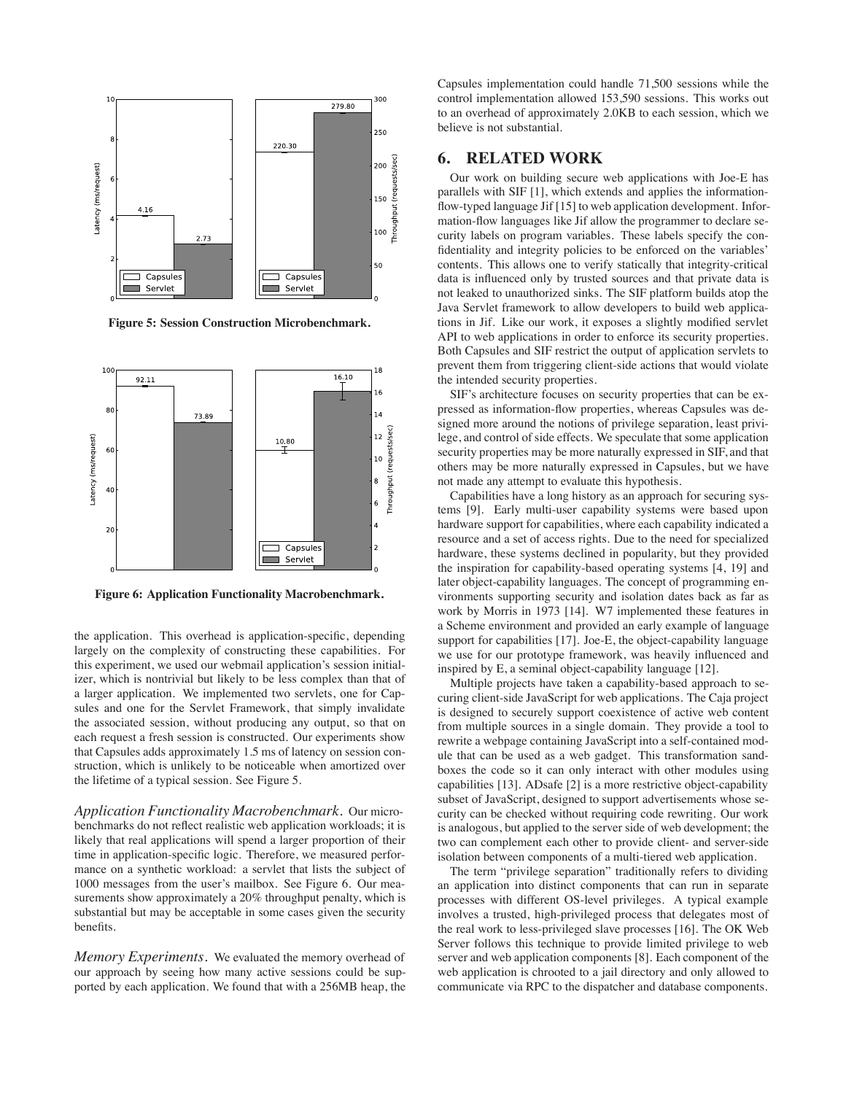

**Figure 5: Session Construction Microbenchmark.**



**Figure 6: Application Functionality Macrobenchmark.**

the application. This overhead is application-specific, depending largely on the complexity of constructing these capabilities. For this experiment, we used our webmail application's session initializer, which is nontrivial but likely to be less complex than that of a larger application. We implemented two servlets, one for Capsules and one for the Servlet Framework, that simply invalidate the associated session, without producing any output, so that on each request a fresh session is constructed. Our experiments show that Capsules adds approximately 1.5 ms of latency on session construction, which is unlikely to be noticeable when amortized over the lifetime of a typical session. See Figure 5.

*Application Functionality Macrobenchmark.* Our microbenchmarks do not reflect realistic web application workloads; it is likely that real applications will spend a larger proportion of their time in application-specific logic. Therefore, we measured performance on a synthetic workload: a servlet that lists the subject of 1000 messages from the user's mailbox. See Figure 6. Our measurements show approximately a 20% throughput penalty, which is substantial but may be acceptable in some cases given the security benefits.

*Memory Experiments.* We evaluated the memory overhead of our approach by seeing how many active sessions could be supported by each application. We found that with a 256MB heap, the Capsules implementation could handle 71,500 sessions while the control implementation allowed 153,590 sessions. This works out to an overhead of approximately 2.0KB to each session, which we believe is not substantial.

# **6. RELATED WORK**

Our work on building secure web applications with Joe-E has parallels with SIF [1], which extends and applies the informationflow-typed language Jif [15] to web application development. Information-flow languages like Jif allow the programmer to declare security labels on program variables. These labels specify the confidentiality and integrity policies to be enforced on the variables' contents. This allows one to verify statically that integrity-critical data is influenced only by trusted sources and that private data is not leaked to unauthorized sinks. The SIF platform builds atop the Java Servlet framework to allow developers to build web applications in Jif. Like our work, it exposes a slightly modified servlet API to web applications in order to enforce its security properties. Both Capsules and SIF restrict the output of application servlets to prevent them from triggering client-side actions that would violate the intended security properties.

SIF's architecture focuses on security properties that can be expressed as information-flow properties, whereas Capsules was designed more around the notions of privilege separation, least privilege, and control of side effects. We speculate that some application security properties may be more naturally expressed in SIF, and that others may be more naturally expressed in Capsules, but we have not made any attempt to evaluate this hypothesis.

Capabilities have a long history as an approach for securing systems [9]. Early multi-user capability systems were based upon hardware support for capabilities, where each capability indicated a resource and a set of access rights. Due to the need for specialized hardware, these systems declined in popularity, but they provided the inspiration for capability-based operating systems [4, 19] and later object-capability languages. The concept of programming environments supporting security and isolation dates back as far as work by Morris in 1973 [14]. W7 implemented these features in a Scheme environment and provided an early example of language support for capabilities [17]. Joe-E, the object-capability language we use for our prototype framework, was heavily influenced and inspired by E, a seminal object-capability language [12].

Multiple projects have taken a capability-based approach to securing client-side JavaScript for web applications. The Caja project is designed to securely support coexistence of active web content from multiple sources in a single domain. They provide a tool to rewrite a webpage containing JavaScript into a self-contained module that can be used as a web gadget. This transformation sandboxes the code so it can only interact with other modules using capabilities [13]. ADsafe [2] is a more restrictive object-capability subset of JavaScript, designed to support advertisements whose security can be checked without requiring code rewriting. Our work is analogous, but applied to the server side of web development; the two can complement each other to provide client- and server-side isolation between components of a multi-tiered web application.

The term "privilege separation" traditionally refers to dividing an application into distinct components that can run in separate processes with different OS-level privileges. A typical example involves a trusted, high-privileged process that delegates most of the real work to less-privileged slave processes [16]. The OK Web Server follows this technique to provide limited privilege to web server and web application components [8]. Each component of the web application is chrooted to a jail directory and only allowed to communicate via RPC to the dispatcher and database components.